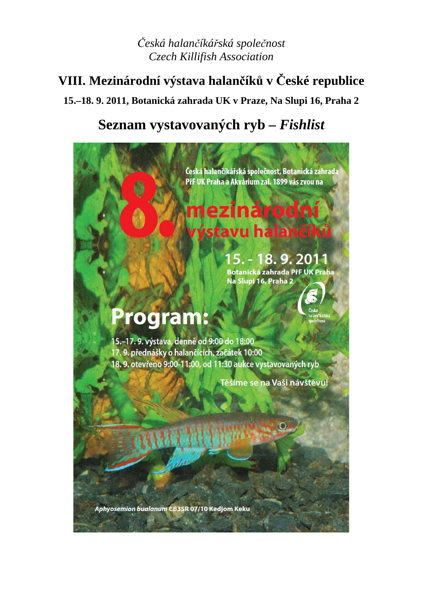# *Česká halančíkářská společnost Czech Killifish Association*

# **VIII. Mezinárodní výstava halančíků v České republice 15.–18. 9. 2011, Botanická zahrada UK v Praze, Na Slupi 16, Praha 2**

# **Seznam vystavovaných ryb –** *Fishlist*

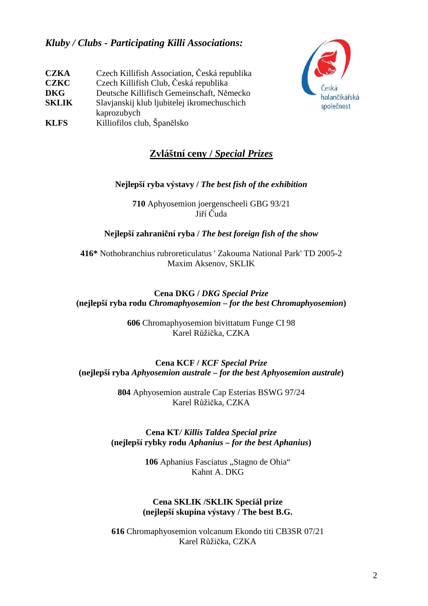### *Kluby / Clubs - Participating Killi Associations:*

| <b>CZKA</b>  | Czech Killifish Association, Česká republika |
|--------------|----------------------------------------------|
| <b>CZKC</b>  | Czech Killifish Club, Česká republika        |
| <b>DKG</b>   | Deutsche Killifisch Gemeinschaft, Německo    |
| <b>SKLIK</b> | Slavjanskij klub ljubitelej ikromechuschich  |
|              | kaprozubych                                  |
| <b>KLFS</b>  | Killiofilos club, Španělsko                  |



# **Zvláštní ceny /** *Special Prizes*

#### **Nejlepší ryba výstavy /** *The best fish of the exhibition*

**710** Aphyosemion joergenscheeli GBG 93/21 Jiří Čuda

**Nejlepší zahraniční ryba /** *The best foreign fish of the show* 

**416\*** Nothobranchius rubroreticulatus ' Zakouma National Park' TD 2005-2 Maxim Aksenov, SKLIK

**Cena DKG /** *DKG Special Prize* **(nejlepší ryba rodu** *Chromaphyosemion* **–** *for the best Chromaphyosemion***)** 

> **606** Chromaphyosemion bivittatum Funge CI 98 Karel Růžička, CZKA

**Cena KCF /** *KCF Special Prize* **(nejlepší ryba** *Aphyosemion australe* **–** *for the best Aphyosemion australe***)** 

> **804** Aphyosemion australe Cap Esterias BSWG 97/24 Karel Růžička, CZKA

**Cena KT***/ Killis Taldea Special prize*  **(nejlepší rybky rodu** *Aphanius – for the best Aphanius***)** 

> 106 Aphanius Fasciatus "Stagno de Ohia" Kahnt A. DKG

#### **Cena SKLIK /SKLIK Speciál prize (nejlepší skupina výstavy / The best B.G.**

**616** Chromaphyosemion volcanum Ekondo titi CB3SR 07/21 Karel Růžička, CZKA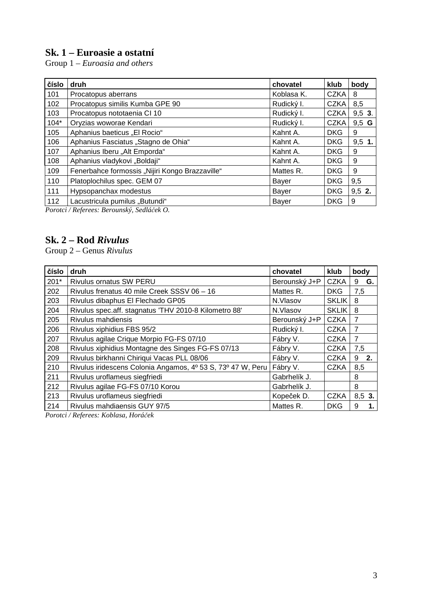## **Sk. 1 – Euroasie a ostatní**

Group 1 *– Euroasia and others* 

| číslo  | druh                                            | chovatel   | <b>klub</b> | body     |
|--------|-------------------------------------------------|------------|-------------|----------|
| 101    | Procatopus aberrans                             | Koblasa K. | <b>CZKA</b> | 8        |
| 102    | Procatopus similis Kumba GPE 90                 | Rudický I. | <b>CZKA</b> | 8,5      |
| 103    | Procatopus nototaenia CI 10                     | Rudický I. | <b>CZKA</b> | $9,5$ 3. |
| $104*$ | Oryzias woworae Kendari                         | Rudický I. | <b>CZKA</b> | $9,5$ G  |
| 105    | Aphanius baeticus "El Rocio"                    | Kahnt A.   | <b>DKG</b>  | 9        |
| 106    | Aphanius Fasciatus "Stagno de Ohia"             | Kahnt A.   | <b>DKG</b>  | $9.5$ 1. |
| 107    | Aphanius Iberu "Alt Emporda"                    | Kahnt A.   | <b>DKG</b>  | 9        |
| 108    | Aphanius vladykovi "Boldaji"                    | Kahnt A.   | <b>DKG</b>  | 9        |
| 109    | Fenerbahce formossis "Nijiri Kongo Brazzaville" | Mattes R.  | <b>DKG</b>  | 9        |
| 110    | Platoplochilus spec. GEM 07                     | Bayer      | <b>DKG</b>  | 9,5      |
| 111    | Hypsopanchax modestus                           | Bayer      | <b>DKG</b>  | $9,5$ 2. |
| 112    | Lacustricula pumilus "Butundi"                  | Bayer      | <b>DKG</b>  | 9        |

*Porotci / Referees: Berounský, Sedláček O.* 

# **Sk. 2 – Rod** *Rivulus*

Group 2 – Genus *Rivulus*

| číslo  | druh                                                        | chovatel      | klub         | body     |    |
|--------|-------------------------------------------------------------|---------------|--------------|----------|----|
| $201*$ | Rivulus ornatus SW PERU                                     | Berounský J+P | <b>CZKA</b>  | G.<br>9  |    |
| 202    | Rivulus frenatus 40 mile Creek SSSV 06 - 16                 | Mattes R.     | <b>DKG</b>   | 7,5      |    |
| 203    | Rivulus dibaphus El Flechado GP05                           | N.Vlasov      | <b>SKLIK</b> | 8        |    |
| 204    | Rivulus spec.aff. stagnatus 'THV 2010-8 Kilometro 88'       | N.Vlasov      | <b>SKLIK</b> | 8        |    |
| 205    | Rivulus mahdiensis                                          | Berounský J+P | <b>CZKA</b>  | 7        |    |
| 206    | Rivulus xiphidius FBS 95/2                                  | Rudický I.    | <b>CZKA</b>  | 7        |    |
| 207    | Rivulus agilae Crique Morpio FG-FS 07/10                    | Fábry V.      | <b>CZKA</b>  | 7        |    |
| 208    | Rivulus xiphidius Montagne des Singes FG-FS 07/13           | Fábry V.      | <b>CZKA</b>  | 7,5      |    |
| 209    | Rivulus birkhanni Chiriqui Vacas PLL 08/06                  | Fábry V.      | <b>CZKA</b>  | 9<br>-2. |    |
| 210    | Rivulus iridescens Colonia Angamos, 4º 53 S, 73º 47 W, Peru | Fábry V.      | <b>CZKA</b>  | 8,5      |    |
| 211    | Rivulus uroflameus siegfriedi                               | Gabrhelík J.  |              | 8        |    |
| 212    | Rivulus agilae FG-FS 07/10 Korou                            | Gabrhelík J.  |              | 8        |    |
| 213    | Rivulus uroflameus siegfriedi                               | Kopeček D.    | <b>CZKA</b>  | 8,5 3.   |    |
| 214    | Rivulus mahdiaensis GUY 97/5                                | Mattes R.     | <b>DKG</b>   | 9        | 1. |

*Porotci / Referees: Koblasa, Horáček*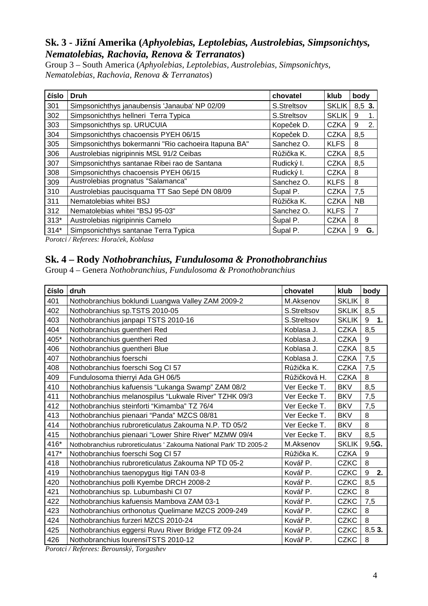#### **Sk. 3 - Jižní Amerika (***Aphyolebias, Leptolebias, Austrolebias, Simpsonichtys, Nematolebias, Rachovia, Renova & Terranatos***)**

Group 3 – South America (*Aphyolebias, Leptolebias, Austrolebias, Simpsonichtys, Nematolebias, Rachovia, Renova & Terranatos*)

| číslo  | <b>Druh</b>                                          | chovatel    | klub         | body      |
|--------|------------------------------------------------------|-------------|--------------|-----------|
| 301    | Simpsonichthys janaubensis 'Janauba' NP 02/09        | S.Streltsov | <b>SKLIK</b> | $8.53$ .  |
| 302    | Simpsonichthys hellneri Terra Typica                 | S.Streltsov | <b>SKLIK</b> | 9<br>1.   |
| 303    | Simpsonichthys sp. URUCUIA                           | Kopeček D.  | <b>CZKA</b>  | 9<br>2.   |
| 304    | Simpsonichthys chacoensis PYEH 06/15                 | Kopeček D.  | <b>CZKA</b>  | 8,5       |
| 305    | Simpsonichthys bokermanni "Rio cachoeira Itapuna BA" | Sanchez O.  | <b>KLFS</b>  | 8         |
| 306    | Austrolebias nigripinnis MSL 91/2 Ceibas             | Růžička K.  | <b>CZKA</b>  | 8,5       |
| 307    | Simpsonichthys santanae Ribei rao de Santana         | Rudický I.  | <b>CZKA</b>  | 8,5       |
| 308    | Simpsonichthys chacoensis PYEH 06/15                 | Rudický I.  | <b>CZKA</b>  | 8         |
| 309    | Austrolebias prognatus "Salamanca"                   | Sanchez O.  | <b>KLFS</b>  | 8         |
| 310    | Austrolebias paucisquama TT Sao Sepé DN 08/09        | Supal P.    | <b>CZKA</b>  | 7,5       |
| 311    | Nematolebias whitei BSJ                              | Růžička K.  | <b>CZKA</b>  | <b>NB</b> |
| 312    | Nematolebias whitei "BSJ 95-03"                      | Sanchez O.  | <b>KLFS</b>  | 7         |
| $313*$ | Austrolebias nigripinnis Camelo                      | Supal P.    | <b>CZKA</b>  | 8         |
| $314*$ | Simpsonichthys santanae Terra Typica                 | Supal P.    | <b>CZKA</b>  | 9<br>G.   |

*Porotci / Referees: Horaček, Koblasa* 

## **Sk. 4 – Rody** *Nothobranchius, Fundulosoma & Pronothobranchius*

Group 4 – Genera *Nothobranchius, Fundulosoma & Pronothobranchius*

| číslo | druh                                                               | chovatel     | klub         | body    |
|-------|--------------------------------------------------------------------|--------------|--------------|---------|
| 401   | Nothobranchius boklundi Luangwa Valley ZAM 2009-2                  | M.Aksenov    | <b>SKLIK</b> | 8       |
| 402   | Nothobranchius sp.TSTS 2010-05                                     | S.Streltsov  | <b>SKLIK</b> | 8,5     |
| 403   | Nothobranchius janpapi TSTS 2010-16                                | S.Streltsov  | <b>SKLIK</b> | 9<br>1. |
| 404   | Nothobranchius guentheri Red                                       | Koblasa J.   | <b>CZKA</b>  | 8,5     |
| 405*  | Nothobranchius guentheri Red                                       | Koblasa J.   | <b>CZKA</b>  | 9       |
| 406   | Nothobranchius guentheri Blue                                      | Koblasa J.   | <b>CZKA</b>  | 8,5     |
| 407   | Nothobranchius foerschi                                            | Koblasa J.   | <b>CZKA</b>  | 7,5     |
| 408   | Nothobranchius foerschi Sog Cl 57                                  | Růžička K.   | <b>CZKA</b>  | 7,5     |
| 409   | Fundulosoma thierryi Ada GH 06/5                                   | Růžičková H. | <b>CZKA</b>  | 8       |
| 410   | Nothobranchius kafuensis "Lukanga Swamp" ZAM 08/2                  | Ver Eecke T. | <b>BKV</b>   | 8,5     |
| 411   | Nothobranchius melanospilus "Lukwale River" TZHK 09/3              | Ver Eecke T. | <b>BKV</b>   | 7,5     |
| 412   | Nothobranchius steinforti "Kimamba" TZ 76/4                        | Ver Eecke T. | <b>BKV</b>   | 7,5     |
| 413   | Nothobranchius pienaari "Panda" MZCS 08/81                         | Ver Eecke T. | <b>BKV</b>   | 8       |
| 414   | Nothobranchius rubroreticulatus Zakouma N.P. TD 05/2               | Ver Eecke T. | <b>BKV</b>   | 8       |
| 415   | Nothobranchius pienaari "Lower Shire River" MZMW 09/4              | Ver Eecke T. | <b>BKV</b>   | 8,5     |
| 416*  | Nothobranchius rubroreticulatus ' Zakouma National Park' TD 2005-2 | M.Aksenov    | <b>SKLIK</b> | 9,5G.   |
| 417*  | Nothobranchius foerschi Sog Cl 57                                  | Růžička K.   | <b>CZKA</b>  | 9       |
| 418   | Nothobranchius rubroreticulatus Zakouma NP TD 05-2                 | Kovář P.     | <b>CZKC</b>  | 8       |
| 419   | Nothobranchius taenopygus Itigi TAN 03-8                           | Kovář P.     | <b>CZKC</b>  | 9<br>2. |
| 420   | Nothobranchius polli Kyembe DRCH 2008-2                            | Kovář P.     | <b>CZKC</b>  | 8,5     |
| 421   | Nothobranchius sp. Lubumbashi CI 07                                | Kovář P.     | <b>CZKC</b>  | 8       |
| 422   | Nothobranchius kafuensis Mambova ZAM 03-1                          | Kovář P.     | <b>CZKC</b>  | 7,5     |
| 423   | Nothobranchius orthonotus Quelimane MZCS 2009-249                  | Kovář P.     | <b>CZKC</b>  | 8       |
| 424   | Nothobranchius furzeri MZCS 2010-24                                | Kovář P.     | <b>CZKC</b>  | 8       |
| 425   | Nothobranchius eggersi Ruvu River Bridge FTZ 09-24                 | Kovář P.     | <b>CZKC</b>  | 8,53.   |
| 426   | Nothobranchius lourensiTSTS 2010-12                                | Kovář P.     | <b>CZKC</b>  | 8       |

*Porotci / Referees: Berounský, Torgashev*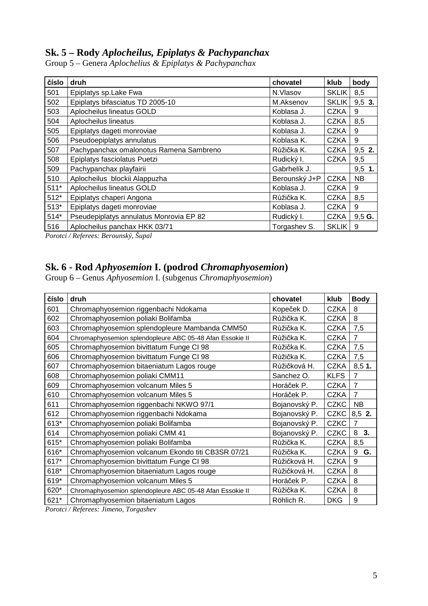## **Sk. 5 – Rody** *Aplocheilus, Epiplatys & Pachypanchax*

|  |  |  | Group 5 - Genera Aplochelius & Epiplatys & Pachypanchax |
|--|--|--|---------------------------------------------------------|
|  |  |  |                                                         |

| číslo  | druh                                    | chovatel      | klub         | body      |
|--------|-----------------------------------------|---------------|--------------|-----------|
| 501    | Epiplatys sp.Lake Fwa                   | N.Vlasov      | <b>SKLIK</b> | 8,5       |
| 502    | Epiplatys bifasciatus TD 2005-10        | M.Aksenov     | <b>SKLIK</b> | $9,5$ 3.  |
| 503    | Aplocheilus lineatus GOLD               | Koblasa J.    | <b>CZKA</b>  | 9         |
| 504    | Aplocheilus lineatus                    | Koblasa J.    | <b>CZKA</b>  | 8,5       |
| 505    | Epiplatys dageti monroviae              | Koblasa J.    | <b>CZKA</b>  | 9         |
| 506    | Pseudoepiplatys annulatus               | Koblasa K.    | <b>CZKA</b>  | 9         |
| 507    | Pachypanchax omalonotus Ramena Sambreno | Růžička K.    | <b>CZKA</b>  | $9,5$ 2.  |
| 508    | Epiplatys fasciolatus Puetzi            | Rudický I.    | <b>CZKA</b>  | 9,5       |
| 509    | Pachypanchax playfairii                 | Gabrhelík J.  |              | $9,5$ 1.  |
| 510    | Aplocheilus blockii Alappuzha           | Berounský J+P | <b>CZKA</b>  | <b>NB</b> |
| $511*$ | Aplocheilus lineatus GOLD               | Koblasa J.    | <b>CZKA</b>  | 9         |
| $512*$ | Epiplatys chaperi Angona                | Růžička K.    | <b>CZKA</b>  | 8,5       |
| $513*$ | Epiplatys dageti monroviae              | Koblasa J.    | <b>CZKA</b>  | 9         |
| $514*$ | Pseudepiplatys annulatus Monrovia EP 82 | Rudický I.    | <b>CZKA</b>  | 9,5G.     |
| 516    | Aplocheilus panchax HKK 03/71           | Torgashev S.  | <b>SKLIK</b> | 9         |

*Porotci / Referees: Berounský, Šupal* 

#### **Sk. 6 - Rod** *Aphyosemion* **I. (podrod** *Chromaphyosemion***)**

Group 6 – Genus *Aphyosemion* I. (subgenus *Chromaphyosemion*)

| číslo | druh                                                                                                                                                                                                                                                                                                                                                                                                                    | chovatel      | klub        | <b>Body</b>    |
|-------|-------------------------------------------------------------------------------------------------------------------------------------------------------------------------------------------------------------------------------------------------------------------------------------------------------------------------------------------------------------------------------------------------------------------------|---------------|-------------|----------------|
| 601   | Chromaphyosemion riggenbachi Ndokama                                                                                                                                                                                                                                                                                                                                                                                    | Kopeček D.    | <b>CZKA</b> | 8              |
| 602   | Chromaphyosemion poliaki Bolifamba                                                                                                                                                                                                                                                                                                                                                                                      | Růžička K.    | <b>CZKA</b> | 8              |
| 603   | Chromaphyosemion splendopleure Mambanda CMM50                                                                                                                                                                                                                                                                                                                                                                           | Růžička K.    | <b>CZKA</b> | 7,5            |
| 604   | Chromaphyosemion splendopleure ABC 05-48 Afan Essokie II                                                                                                                                                                                                                                                                                                                                                                | Růžička K.    | <b>CZKA</b> | $\overline{7}$ |
| 605   | Chromaphyosemion bivittatum Funge CI 98                                                                                                                                                                                                                                                                                                                                                                                 | Růžička K.    | <b>CZKA</b> | 7,5            |
| 606   | Chromaphyosemion bivittatum Funge CI 98                                                                                                                                                                                                                                                                                                                                                                                 | Růžička K.    | <b>CZKA</b> | 7,5            |
| 607   | Chromaphyosemion bitaeniatum Lagos rouge                                                                                                                                                                                                                                                                                                                                                                                | Růžičková H.  | <b>CZKA</b> | 8,51.          |
| 608   | Chromaphyosemion poliaki CMM11                                                                                                                                                                                                                                                                                                                                                                                          | Sanchez O.    | <b>KLFS</b> | $\overline{7}$ |
| 609   | Chromaphyosemion volcanum Miles 5                                                                                                                                                                                                                                                                                                                                                                                       | Horáček P.    | <b>CZKA</b> | $\overline{7}$ |
| 610   | Chromaphyosemion volcanum Miles 5                                                                                                                                                                                                                                                                                                                                                                                       | Horáček P.    | <b>CZKA</b> | $\overline{7}$ |
| 611   | Chromaphyosemion riggenbachi NKWO 97/1                                                                                                                                                                                                                                                                                                                                                                                  | Bojanovský P. | <b>CZKC</b> | <b>NB</b>      |
| 612   | Chromaphyosemion riggenbachi Ndokama                                                                                                                                                                                                                                                                                                                                                                                    | Bojanovský P. | <b>CZKC</b> | 8,5 2.         |
| 613*  | Chromaphyosemion poliaki Bolifamba                                                                                                                                                                                                                                                                                                                                                                                      | Bojanovský P. | <b>CZKC</b> | $\overline{7}$ |
| 614   | Chromaphyosemion poliaki CMM 41                                                                                                                                                                                                                                                                                                                                                                                         | Bojanovský P. | <b>CZKC</b> | 8 3.           |
| 615*  | Chromaphyosemion poliaki Bolifamba                                                                                                                                                                                                                                                                                                                                                                                      | Růžička K.    | <b>CZKA</b> | 8,5            |
| 616*  | Chromaphyosemion volcanum Ekondo titi CB3SR 07/21                                                                                                                                                                                                                                                                                                                                                                       | Růžička K.    | <b>CZKA</b> | G.<br>9        |
| 617*  | Chromaphyosemion bivittatum Funge CI 98                                                                                                                                                                                                                                                                                                                                                                                 | Růžičková H.  | <b>CZKA</b> | 9              |
| 618*  | Chromaphyosemion bitaeniatum Lagos rouge                                                                                                                                                                                                                                                                                                                                                                                | Růžičková H.  | <b>CZKA</b> | 8              |
| 619*  | Chromaphyosemion volcanum Miles 5                                                                                                                                                                                                                                                                                                                                                                                       | Horáček P.    | <b>CZKA</b> | 8              |
| 620*  | Chromaphyosemion splendopleure ABC 05-48 Afan Essokie II                                                                                                                                                                                                                                                                                                                                                                | Růžička K.    | <b>CZKA</b> | 8              |
| 621*  | Chromaphyosemion bitaeniatum Lagos<br>$\mathbf{n}$ , $\mathbf{n}$ , $\mathbf{n}$ , $\mathbf{n}$ , $\mathbf{n}$ , $\mathbf{n}$ , $\mathbf{n}$ , $\mathbf{n}$ , $\mathbf{n}$ , $\mathbf{n}$ , $\mathbf{n}$ , $\mathbf{n}$ , $\mathbf{n}$ , $\mathbf{n}$ , $\mathbf{n}$ , $\mathbf{n}$ , $\mathbf{n}$ , $\mathbf{n}$ , $\mathbf{n}$ , $\mathbf{n}$ , $\mathbf{n}$ , $\mathbf{n}$ , $\mathbf{n}$ , $\mathbf{n}$ , $\mathbf$ | Röhlich R.    | <b>DKG</b>  | 9              |

*Porotci / Referees: Jimeno, Torgashev*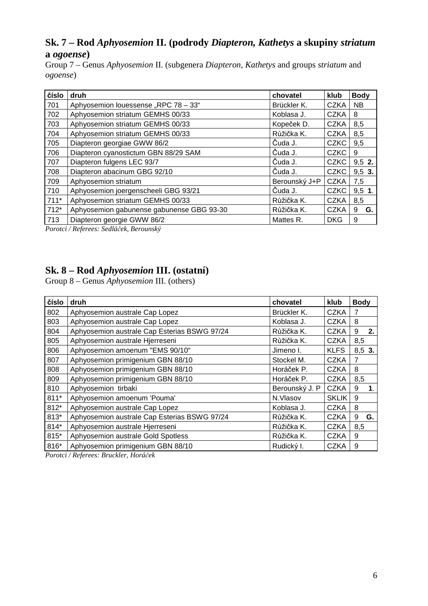### **Sk. 7 – Rod** *Aphyosemion* **II. (podrody** *Diapteron, Kathetys* **a skupiny** *striatum*  **a** *ogoense***)**

Group 7 – Genus *Aphyosemion* II. (subgenera *Diapteron, Kathetys* and groups *striatum* and *ogoense*)

| číslo  | druh                                      | chovatel      | klub        | <b>Body</b> |
|--------|-------------------------------------------|---------------|-------------|-------------|
| 701    | Aphyosemion louessense "RPC 78 - 33"      | Brückler K.   | <b>CZKA</b> | <b>NB</b>   |
| 702    | Aphyosemion striatum GEMHS 00/33          | Koblasa J.    | <b>CZKA</b> | 8           |
| 703    | Aphyosemion striatum GEMHS 00/33          | Kopeček D.    | <b>CZKA</b> | 8,5         |
| 704    | Aphyosemion striatum GEMHS 00/33          | Růžička K.    | <b>CZKA</b> | 8,5         |
| 705    | Diapteron georgiae GWW 86/2               | Čuda J.       | <b>CZKC</b> | 9,5         |
| 706    | Diapteron cyanostictum GBN 88/29 SAM      | Čuda J.       | <b>CZKC</b> | 9           |
| 707    | Diapteron fulgens LEC 93/7                | Čuda J.       | <b>CZKC</b> | 9,5 2.      |
| 708    | Diapteron abacinum GBG 92/10              | Čuda J.       | <b>CZKC</b> | $9,5$ 3.    |
| 709    | Aphyosemion striatum                      | Berounský J+P | <b>CZKA</b> | 7,5         |
| 710    | Aphyosemion joergenscheeli GBG 93/21      | Čuda J.       | <b>CZKC</b> | $9,5$ 1.    |
| $711*$ | Aphyosemion striatum GEMHS 00/33          | Růžička K.    | <b>CZKA</b> | 8,5         |
| $712*$ | Aphyosemion gabunense gabunense GBG 93-30 | Růžička K.    | <b>CZKA</b> | 9<br>G.     |
| 713    | Diapteron georgie GWW 86/2                | Mattes R.     | <b>DKG</b>  | 9           |

*Porotci / Referees: Sedláček, Berounský* 

#### **Sk. 8 – Rod** *Aphyosemion* **III. (ostatní)**

Group 8 – Genus *Aphyosemion* III. (others)

| číslo  | druh                                         | chovatel       | klub         | <b>Body</b> |                |  |
|--------|----------------------------------------------|----------------|--------------|-------------|----------------|--|
| 802    | Aphyosemion australe Cap Lopez               | Brückler K.    | <b>CZKA</b>  | 7           |                |  |
| 803    | Aphyosemion australe Cap Lopez               | Koblasa J.     | <b>CZKA</b>  | 8           |                |  |
| 804    | Aphyosemion australe Cap Esterias BSWG 97/24 | Růžička K.     | <b>CZKA</b>  | 9           | 2.             |  |
| 805    | Aphyosemion australe Hjerreseni              | Růžička K.     | <b>CZKA</b>  | 8,5         |                |  |
| 806    | Aphyosemion amoenum "EMS 90/10"              | Jimeno I.      | <b>KLFS</b>  | 8,5 3.      |                |  |
| 807    | Aphyosemion primigenium GBN 88/10            | Stockel M.     | <b>CZKA</b>  | 7           |                |  |
| 808    | Aphyosemion primigenium GBN 88/10            | Horáček P.     | <b>CZKA</b>  | 8           |                |  |
| 809    | Aphyosemion primigenium GBN 88/10            | Horáček P.     | <b>CZKA</b>  | 8,5         |                |  |
| 810    | Aphyosemion tirbaki                          | Berounský J. P | <b>CZKA</b>  | 9           | $\mathbf{1}$ . |  |
| $811*$ | Aphyosemion amoenum 'Pouma'                  | N.Vlasov       | <b>SKLIK</b> | 9           |                |  |
| 812*   | Aphyosemion australe Cap Lopez               | Koblasa J.     | <b>CZKA</b>  | 8           |                |  |
| 813*   | Aphyosemion australe Cap Esterias BSWG 97/24 | Růžička K.     | <b>CZKA</b>  | 9           | G.             |  |
| 814*   | Aphyosemion australe Hjerreseni              | Růžička K.     | <b>CZKA</b>  |             | 8,5            |  |
| 815*   | Aphyosemion australe Gold Spotless           | Růžička K.     | <b>CZKA</b>  | 9           |                |  |
| 816*   | Aphyosemion primigenium GBN 88/10            | Rudický I.     | <b>CZKA</b>  | 9           |                |  |

*Porotci / Referees: Bruckler, Horáček*